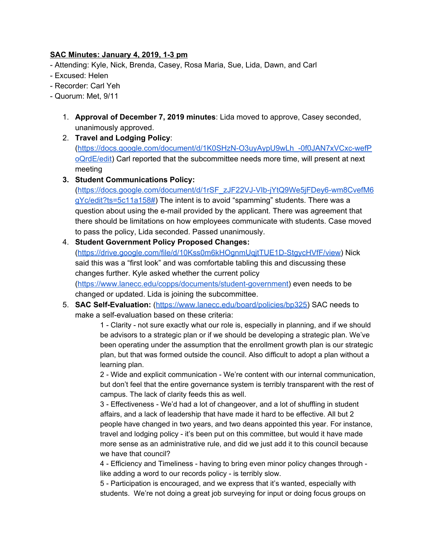## **SAC Minutes: January 4, 2019, 1-3 pm**

- Attending: Kyle, Nick, Brenda, Casey, Rosa Maria, Sue, Lida, Dawn, and Carl

- Excused: Helen
- Recorder: Carl Yeh
- Quorum: Met, 9/11
	- 1. **Approval of December 7, 2019 minutes**: Lida moved to approve, Casey seconded, unanimously approved.
	- 2. **Travel and Lodging Policy**: ([https://docs.google.com/document/d/1K0SHzN-O3uyAypU9wLh\\_-0f0JAN7xVCxc-wefP](https://docs.google.com/document/d/1K0SHzN-O3uyAypU9wLh_-0f0JAN7xVCxc-wefPoQrdE/edit) [oQrdE/edit](https://docs.google.com/document/d/1K0SHzN-O3uyAypU9wLh_-0f0JAN7xVCxc-wefPoQrdE/edit)) Carl reported that the subcommittee needs more time, will present at next meeting
	- **3. Student Communications Policy:**

([https://docs.google.com/document/d/1rSF\\_zJF22VJ-VIb-jYtQ9We5jFDey6-wm8CvefM6](https://docs.google.com/document/d/1rSF_zJF22VJ-VIb-jYtQ9We5jFDey6-wm8CvefM6gYc/edit?ts=5c11a158#) [gYc/edit?ts=5c11a158#\)](https://docs.google.com/document/d/1rSF_zJF22VJ-VIb-jYtQ9We5jFDey6-wm8CvefM6gYc/edit?ts=5c11a158#) The intent is to avoid "spamming" students. There was a question about using the e-mail provided by the applicant. There was agreement that there should be limitations on how employees communicate with students. Case moved to pass the policy, Lida seconded. Passed unanimously.

4. **Student Government Policy Proposed Changes:** ([https://drive.google.com/file/d/10Kss0m6kHOgnmUqjtTUE1D-StgycHVfF/view\)](https://drive.google.com/file/d/10Kss0m6kHOgnmUqjtTUE1D-StgycHVfF/view) Nick said this was a "first look" and was comfortable tabling this and discussing these changes further. Kyle asked whether the current policy

([https://www.lanecc.edu/copps/documents/student-government\)](https://www.lanecc.edu/copps/documents/student-government) even needs to be changed or updated. Lida is joining the subcommittee.

5. **SAC Self-Evaluation:** [\(https://www.lanecc.edu/board/policies/bp325\)](https://www.lanecc.edu/board/policies/bp325) SAC needs to make a self-evaluation based on these criteria:

> 1 - Clarity - not sure exactly what our role is, especially in planning, and if we should be advisors to a strategic plan or if we should be developing a strategic plan. We've been operating under the assumption that the enrollment growth plan is our strategic plan, but that was formed outside the council. Also difficult to adopt a plan without a learning plan.

> 2 - Wide and explicit communication - We're content with our internal communication, but don't feel that the entire governance system is terribly transparent with the rest of campus. The lack of clarity feeds this as well.

> 3 - Effectiveness - We'd had a lot of changeover, and a lot of shuffling in student affairs, and a lack of leadership that have made it hard to be effective. All but 2 people have changed in two years, and two deans appointed this year. For instance, travel and lodging policy - it's been put on this committee, but would it have made more sense as an administrative rule, and did we just add it to this council because we have that council?

4 - Efficiency and Timeliness - having to bring even minor policy changes through like adding a word to our records policy - is terribly slow.

5 - Participation is encouraged, and we express that it's wanted, especially with students. We're not doing a great job surveying for input or doing focus groups on